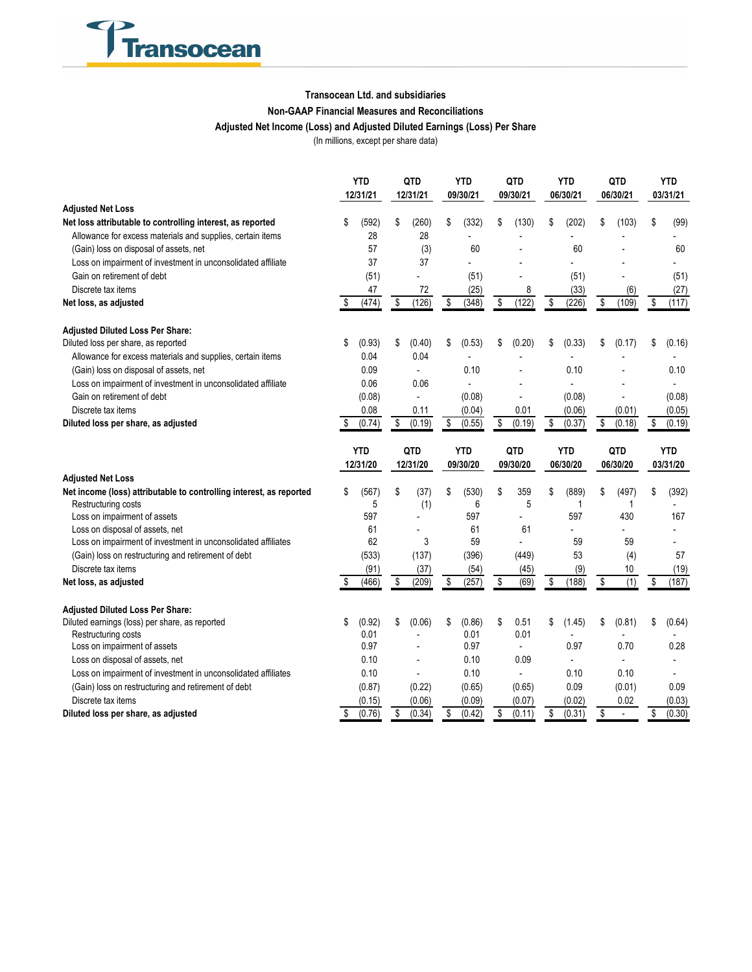

## **Transocean Ltd. and subsidiaries**

## **Non-GAAP Financial Measures and Reconciliations**

**Adjusted Net Income (Loss) and Adjusted Diluted Earnings (Loss) Per Share**

(In millions, except per share data)

|                                                                     |                        | <b>YTD</b><br>12/31/21 |                 | QTD<br>12/31/21 |                        | <b>YTD</b><br>09/30/21 |                 | QTD<br>09/30/21          |                        | <b>YTD</b><br>06/30/21 |                 | QTD<br>06/30/21 |                        | <b>YTD</b><br>03/31/21 |  |
|---------------------------------------------------------------------|------------------------|------------------------|-----------------|-----------------|------------------------|------------------------|-----------------|--------------------------|------------------------|------------------------|-----------------|-----------------|------------------------|------------------------|--|
| <b>Adjusted Net Loss</b>                                            |                        |                        |                 |                 |                        |                        |                 |                          |                        |                        |                 |                 |                        |                        |  |
| Net loss attributable to controlling interest, as reported          | \$                     | (592)                  | \$              | (260)           | \$                     | (332)                  |                 | (130)                    | \$                     | (202)                  | \$              | (103)           | \$                     | (99)                   |  |
| Allowance for excess materials and supplies, certain items          |                        | 28                     |                 | 28              |                        |                        |                 |                          |                        |                        |                 |                 |                        |                        |  |
| (Gain) loss on disposal of assets, net                              |                        | 57                     |                 | (3)             |                        | 60                     |                 |                          |                        | 60                     |                 |                 |                        | 60                     |  |
| Loss on impairment of investment in unconsolidated affiliate        |                        | 37                     |                 | 37              |                        |                        |                 |                          |                        |                        |                 |                 |                        |                        |  |
| Gain on retirement of debt                                          |                        | (51)                   |                 |                 |                        | (51)                   |                 |                          |                        | (51)                   |                 |                 |                        | (51)                   |  |
| Discrete tax items                                                  |                        | 47                     |                 | 72              |                        | (25)                   |                 | 8                        |                        | (33)                   |                 | (6)             |                        | (27)                   |  |
| Net loss, as adjusted                                               | \$                     | (474)                  | \$              | (126)           | \$                     | (348)                  | \$              | (122)                    | \$                     | (226)                  | \$              | (109)           | \$                     | (117)                  |  |
| <b>Adjusted Diluted Loss Per Share:</b>                             |                        |                        |                 |                 |                        |                        |                 |                          |                        |                        |                 |                 |                        |                        |  |
| Diluted loss per share, as reported                                 | \$                     | (0.93)                 | \$              | (0.40)          | S                      | (0.53)                 | \$              | (0.20)                   | S                      | (0.33)                 | \$              | (0.17)          | \$                     | (0.16)                 |  |
| Allowance for excess materials and supplies, certain items          |                        | 0.04                   |                 | 0.04            |                        |                        |                 |                          |                        |                        |                 |                 |                        |                        |  |
| (Gain) loss on disposal of assets, net                              |                        | 0.09                   |                 | $\overline{a}$  |                        | 0.10                   |                 |                          |                        | 0.10                   |                 |                 |                        | 0.10                   |  |
| Loss on impairment of investment in unconsolidated affiliate        |                        | 0.06                   |                 | 0.06            |                        |                        |                 |                          |                        |                        |                 |                 |                        |                        |  |
| Gain on retirement of debt                                          |                        | (0.08)                 |                 | $\overline{a}$  |                        | (0.08)                 |                 |                          |                        | (0.08)                 |                 |                 |                        | (0.08)                 |  |
| Discrete tax items                                                  |                        | 0.08                   |                 | 0.11            |                        | (0.04)                 |                 | 0.01                     |                        | (0.06)                 |                 | (0.01)          |                        | (0.05)                 |  |
| Diluted loss per share, as adjusted                                 | \$                     | (0.74)                 | \$              | (0.19)          | \$                     | (0.55)                 | \$              | (0.19)                   | \$                     | (0.37)                 | \$              | (0.18)          | \$                     | (0.19)                 |  |
|                                                                     | <b>YTD</b><br>12/31/20 |                        | QTD<br>12/31/20 |                 | <b>YTD</b><br>09/30/20 |                        | QTD<br>09/30/20 |                          | <b>YTD</b><br>06/30/20 |                        | QTD<br>06/30/20 |                 | <b>YTD</b><br>03/31/20 |                        |  |
| <b>Adjusted Net Loss</b>                                            |                        |                        |                 |                 |                        |                        |                 |                          |                        |                        |                 |                 |                        |                        |  |
| Net income (loss) attributable to controlling interest, as reported | \$                     | (567)                  | \$              | (37)            | \$                     | (530)                  | \$              | 359                      | \$                     | (889)                  | \$              | (497)           | \$                     | (392)                  |  |
| Restructuring costs                                                 |                        | 5                      |                 | (1)             |                        | 6                      |                 | 5                        |                        | 1                      |                 | 1               |                        |                        |  |
| Loss on impairment of assets                                        |                        | 597                    |                 |                 |                        | 597                    |                 |                          |                        | 597                    |                 | 430             |                        | 167                    |  |
| Loss on disposal of assets, net                                     |                        | 61                     |                 |                 |                        | 61                     |                 | 61                       |                        |                        |                 |                 |                        |                        |  |
| Loss on impairment of investment in unconsolidated affiliates       |                        | 62                     |                 | 3               |                        | 59                     |                 |                          |                        | 59                     |                 | 59              |                        |                        |  |
| (Gain) loss on restructuring and retirement of debt                 |                        | (533)                  |                 | (137)           |                        | (396)                  |                 | (449)                    |                        | 53                     |                 | (4)             |                        | 57                     |  |
| Discrete tax items                                                  |                        | (91)                   |                 | (37)            |                        | (54)                   |                 | (45)                     |                        | (9)                    |                 | 10              |                        | (19)                   |  |
| Net loss, as adjusted                                               |                        | (466)                  | \$              | (209)           | \$                     | (257)                  | \$              | (69)                     | \$                     | (188)                  | \$              | (1)             | \$                     | (187)                  |  |
| <b>Adjusted Diluted Loss Per Share:</b>                             |                        |                        |                 |                 |                        |                        |                 |                          |                        |                        |                 |                 |                        |                        |  |
| Diluted earnings (loss) per share, as reported                      | \$                     | (0.92)                 | \$              | (0.06)          | \$                     | (0.86)                 | \$              | 0.51                     | \$                     | (1.45)                 | \$              | (0.81)          | \$                     | (0.64)                 |  |
| Restructuring costs                                                 |                        | 0.01                   |                 |                 |                        | 0.01                   |                 | 0.01                     |                        |                        |                 |                 |                        |                        |  |
| Loss on impairment of assets                                        |                        | 0.97                   |                 |                 |                        | 0.97                   |                 | $\overline{\phantom{a}}$ |                        | 0.97                   |                 | 0.70            |                        | 0.28                   |  |
| Loss on disposal of assets, net                                     |                        | 0.10                   |                 |                 |                        | 0.10                   |                 | 0.09                     |                        |                        |                 |                 |                        |                        |  |
| Loss on impairment of investment in unconsolidated affiliates       |                        | 0.10                   |                 | $\overline{a}$  |                        | 0.10                   |                 | $\blacksquare$           |                        | 0.10                   |                 | 0.10            |                        |                        |  |
| (Gain) loss on restructuring and retirement of debt                 |                        | (0.87)                 |                 | (0.22)          |                        | (0.65)                 |                 | (0.65)                   |                        | 0.09                   |                 | (0.01)          |                        | 0.09                   |  |
| Discrete tax items                                                  |                        | (0.15)                 |                 | (0.06)          |                        | (0.09)                 |                 | (0.07)                   |                        | (0.02)                 |                 | 0.02            |                        | (0.03)                 |  |
| Diluted loss per share, as adjusted                                 | \$                     | (0.76)                 | \$              | (0.34)          | \$                     | (0.42)                 | \$              | (0.11)                   | \$                     | (0.31)                 | \$              |                 | \$                     | (0.30)                 |  |